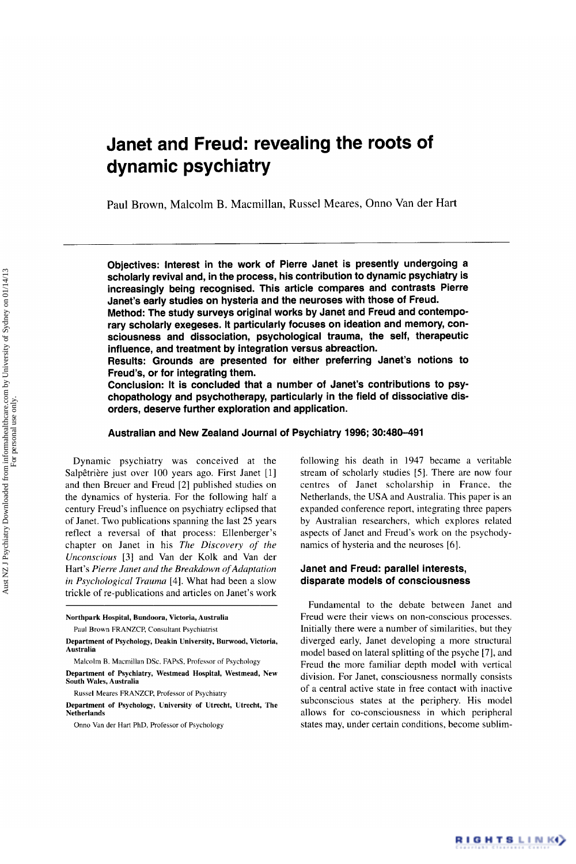# Janet and **Freud:** revealing the roots of dynamic psychiatry

Paul Brown, Malcolm B. Macmillan, Russel Meares, Onno Van der Hart

Objectives: Interest in the work of Pierre Janet is presently undergoing a scholarly revival and, in the process, his contribution to dynamic psychiatry is increasingly being recognised. This article compares and contrasts Pierre Janet's early studies on hysteria and the neuroses with those of Freud.

Method: The study surveys original works by Janet and Freud and contemporary scholarly exegeses. It particularly focuses on ideation and memory, consciousness and dissociation, psychological trauma, the self, therapeutic influence, and treatment by integration versus abreaction.

Results: Grounds are presented for either preferring Janet's notions to Freud's, or for integrating them.

Conclusion: It is concluded that a number of Janet's contributions to psychopathology and psychotherapy, particularly in the field of dissociative disorders, deserve further exploration and application.

## Australian and New Zealand Journal of Psychiatry 1996; **30:480-491**

Dynamic psychiatry was conceived at the Salpêtrière just over 100 years ago. First Janet [1] and then Breuer and Freud *[2]* published studies on the dynamics of hysteria. For the following half a century Freud's influence on psychiatry eclipsed that of Janet. Two publications spanning the last *25* years reflect a reversal of that process: Ellenberger's chapter on Janet in his *The Discovery of the Unconscious [3]* and Van der Kolk and Van der Hart's *Pierre Janet and the Breakdown of Adaptation in Psychological Trauma* [4]. What had been a slow trickle of re-publications and articles on Janet's work following his death in 1947 became a veritable stream of scholarly studies *[S].* There are now four centres of Janet scholarship in France. the Netherlands, the USA and Australia. This paper is an expanded conference report, integrating three papers by Australian researchers, which explores related aspects of Janet and Freud's work on the psychodynamics of hysteria and the neuroses [6].

## Janet and Freud: parallel interests, disparate models of consciousness

Fundamental to the debate between Janet and Freud were their views on non-conscious processes. Initially there were a number of similarities, but they diverged early, Janet developing a more structural model based on lateral splitting of the psyche [7], and Freud the more familiar depth model with vertical division. For Janet, consciousness normally consists of a central active state in free contact with inactive subconscious states at the periphery. His model allows for co-consciousness in which peripheral states may, under certain conditions, become sublim-

RIGHTSLINK)

**Northpark Hospital, Bundoora, Victoria, Australia** 

Paul Brown FRANZCP, Consultant Psychiatrist

**Department of Psychology, Deakin University, Burwood, Victoria, Australia** 

Malcolm **B.** Macmillan **DSc.** FAPsS, Professor of Psychology **Department of Psychiatry, Westmead Hospital, Westmead, New South Wales, Australia** 

Russel Meares FRANZCP. Professor of Psychiatry

**Department of Psychology, University of Utrecht, Utrecht, The Netherlands** 

Onno Van der Hart PhD, Professor of Psychology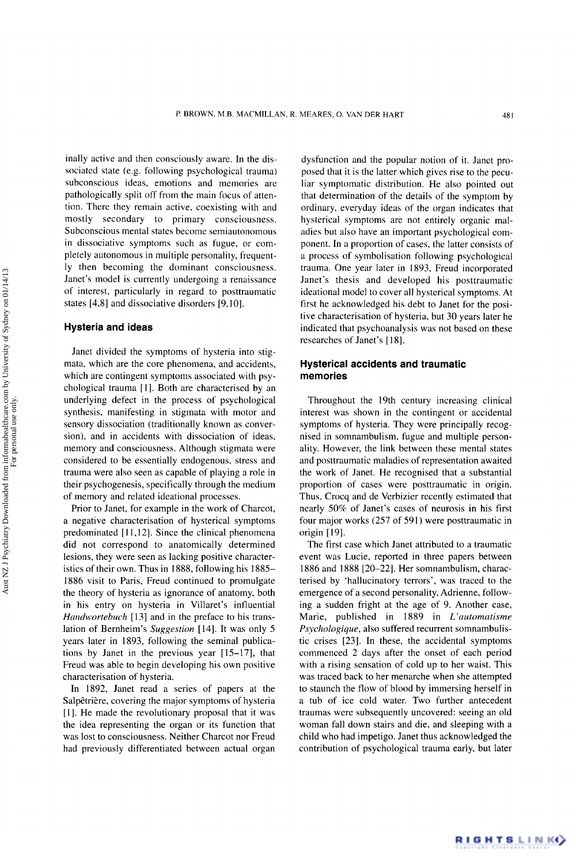inally active and then consciously aware. In the dissociated state (e.g. following psychological trauma) subconscious ideas, emotions and memories are pathologically split off from the main focus of attention. There they remain active, coexisting with and mostly secondary to primary consciousness. Subconscious mental states become semiautonomous in dissociative symptoms such as fugue, or completely autonomous in multiple personality, frequently then becoming the dominant consciousness. Janet's model is currently undergoing a renaissance of interest, particularly in regard to posttraumatic states [4,8] and dissociative disorders [9,10].

#### **Hysteria and ideas**

Janet divided the symptoms of hysteria into stigmata, which are the core phenomena, and accidents, which are contingent symptoms associated with psychological trauma [I]. Both are characterised by an underlying defect in the process of psychological synthesis. manifesting in stigmata with motor and sensory dissociation (traditionally known as conversion), and in accidents with dissociation of ideas, memory and consciousness. Although stigmata were considered to be essentially endogenous, stress and trauma were also seen as capable of playing a role in their psychogenesis, specifically through the medium of memory and related ideational processes.

Prior to Janet, for example in the work of Charcot, a negative characterisation of hysterical symptoms predominated [11,12]. Since the clinical phenomena did not correspond to anatomically determined lesions, they were seen as lacking positive characteristics of their own. Thus in 1888, following his 1885- 1886 visit to Paris, Freud continued to promulgate the theory of hysteria as ignorance of anatomy, both in his entry on hysteria in Villaret's influential *Handwortebuch* [13] and in the preface to his translation of Bernheim's *Suggestion* [14]. It was only 5 years later in 1893, following the seminal publications by Janet in the previous year  $[15-17]$ , that Freud was able to begin developing his own positive characterisation of hysteria.

In 1892, Janet read a series of papers at the Salpêtrière, covering the major symptoms of hysteria [I]. He made the revolutionary proposal that it was the idea representing the organ or its function that was lost to consciousness. Neither Charcot nor Freud had previously differentiated between actual organ

dysfunction and the popular notion of it. Janet proposed that it is the latter which gives rise to the peculiar symptomatic distribution. He also pointed out that determination of the details of the symptom by ordinary, everyday ideas of the organ indicates that hysterical symptoms are not entirely organic maladies but also have an important psychological component. In a proportion of cases, the latter consists of a process of symbolisation following psychological trauma. One year later in 1893, Freud incorporated Janet's thesis and developed his posttraumatic ideational model to cover all hysterical symptoms. At first he acknowledged his debt to Janet for the positive characterisation of hysteria, but 30 years later he indicated that psychoanalysis was not based on these researches of Janet's [18].

## **Hysterical accidents and traumatic memories**

Throughout the 19th century increasing clinical interest was shown in the contingent or accidental symptoms of hysteria. They were principally recognised in somnambulism, fugue and multiple personality. However, the link between these mental states and posttraumatic maladies of representation awaited the work of Janet. He recognised that a substantial proportion of cases were posttraumatic in origin. Thus, Crocq and de Verbizier recently estimated that nearly 50% of Janet's cases of neurosis in his first four major works (257 of 591) were posttraumatic in origin [19].

The first case which Janet attributed to a traumatic event was Lucie, reported in three papers between 1886 and 1888 [20-221. Her somnambulism, characterised by 'hallucinatory terrors', was traced to the emergence of a second personality, Adrienne, following a sudden fright at the age of 9. Another case, Marie, published in 1889 in *L'automatisme Psvchologique,* also suffered recurrent somnambulistic crises [23]. In these, the accidental symptoms commenced 2 days after the onset of each period with a rising sensation of cold up to her waist. This was traced back to her menarche when she attempted to staunch the flow of blood by immersing herself in a tub of ice cold water. Two further antecedent traumas were subsequently uncovered: seeing an old woman fall down stairs and die, and sleeping with a child who had impetigo. Janet thus acknowledged the contribution of psychological trauma early, but later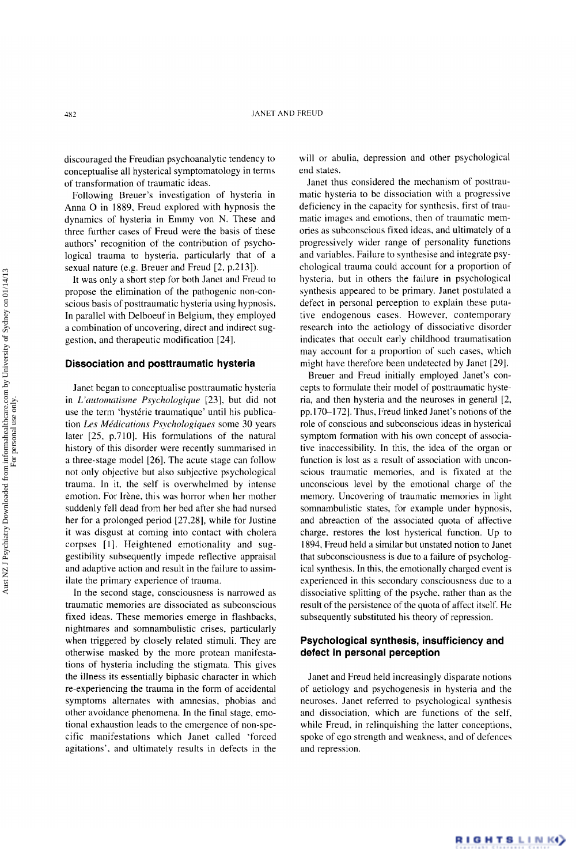discouraged the Freudian psychoanalytic tendency to conceptualise all hysterical symptomatology in terms of transformation of traumatic ideas.

Following Breuer's investigation of hysteria in Anna 0 in 1889. Freud explored with hypnosis the dynamics of hysteria in Emmy von N. These and three further cases of Freud were the basis of these authors' recognition of the contribution of psychological trauma to hysteria, particularly that of a sexual nature (e.g. Breuer and Freud [2, p.213]).

**It** was only a short step for both Janet and Freud to propose the elimination of the pathogenic non-conscious basis of posttraumatic hysteria using hypnosis. In parallel with Delboeuf in Belgium, they employed a combination of uncovering, direct and indirect suggestion. and therapeutic modification [24].

#### **Dissociation and posttraumatic hysteria**

Janet began to conceptualise posttraumatic hysteria in *L'criitomntisme Psychologique* [23], but did not use the term 'hystérie traumatique' until his publication *Les MPdicntions Psychologiques* some *30* years later  $[25, p.710]$ . His formulations of the natural history of this disorder were recently summarised in a three-stage model [26]. The acute stage can follow not only objective but also subjective psychological trauma. In it, the self is overwhelmed by intense emotion. For Irène, this was horror when her mother suddenly fell dead from her bed after she had nursed her for a prolonged period [27,28], while for Justine it was disgust at coming into contact with cholera corpses [I]. Heightened emotionality and suggestibility subsequently impede reflective appraisal and adaptive action and result in the failure to assimilate the primary experience of trauma.

In the second stage, consciousness is narrowed as traumatic memories are dissociated as subconscious fixed ideas. These memories emerge in flashbacks, nightmares and somnambulistic crises, particularly when triggered by closely related stimuli. They are otherwise masked by the more protean manifestations of hysteria including the stigmata. This gives the illness its essentially biphasic character in which re-experiencing the trauma in the form of accidental symptoms alternates with amnesias, phobias and other avoidance phenomena. In the final stage, emotional exhaustion leads to the emergence of non-specific manifestations which Janet called 'forced agitations', and ultimately results in defects in the will or abulia, depression and other psychological end states.

Janet thus considered the mechanism of posttraumatic hysteria to be dissociation with a progressive deficiency in the capacity for synthesis, first of traumatic images and emotions, then of traumatic memories as subconscious fixed ideas. and ultimately of a progressively wider range of personality functions and variables. Failure to synthesise and integrate psychological trauma could account for a proportion of hysteria, but in others the failure in psychological synthesis appeared to be primary. Janet postulated a defect in personal perception to explain these putative endogenous cases. However, contemporary research into the aetiology of dissociative disorder indicates that occult early childhood traumatisation may account for a proportion of such cases, which might have therefore been undetected by Janet [29J.

Breuer and Freud initially employed Janet's concepts to formulate their model of posttraumatic hysteria, and then hysteria and the neuroses in general [2, pp.170-1721. Thus, Freud linked Janet's notions of the role of conscious and subconscious ideas in hysterical symptom formation with his own concept of associative inaccessibility. In this, the idea of the organ or function is lost as a result of association with unconscious traumatic memories, and is fixated at the unconscious level by the emotional charge of the memory. Uncovering of traumatic memories in light somnambulistic states, for example under hypnosis, and abreaction of the associated quota of affective charge. restores the lost hysterical function. Up to 1894, Freud held a similar but unstated notion to Janet that subconsciousness is due to a failure of psychological synthesis. In this, the emotionally charged event is experienced in this secondary consciousness due to a dissociative splitting of the psyche. rather than as the result of the persistence of the quota of affect itself. He subsequently substituted his theory of repression.

## **Psychological synthesis, insufficiency and defect in personal perception**

Janet and Freud held increasingly disparate notions of aetiology and psychogenesis in hysteria and the neuroses. Janet referred to psychological synthesis and dissociation, which are functions of the self, while Freud, in relinquishing the latter conceptions, spoke of ego strength and weakness, and of defences and repression.

RIGHTSLINK)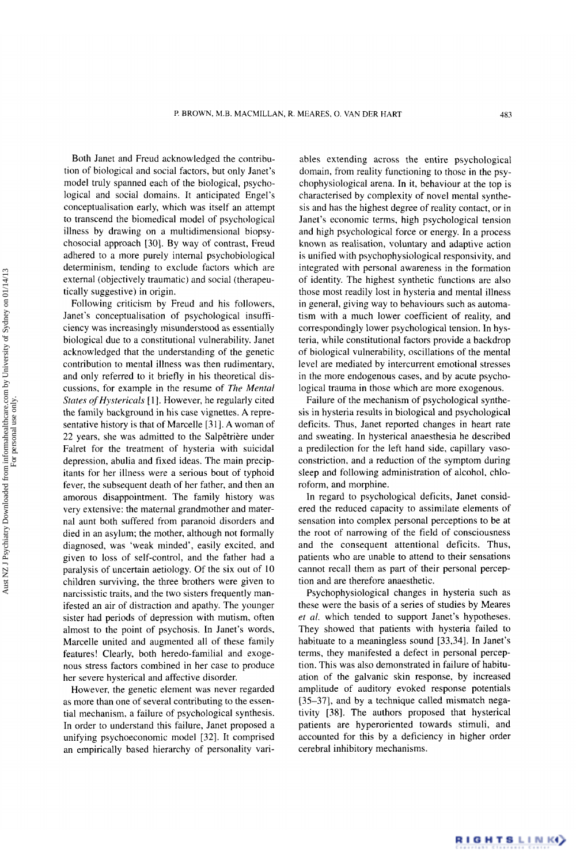Both Janet and Freud acknowledged the contribution of biological and social factors, but only Janet's model truly spanned each of the biological, psychological and social domains. It anticipated Engel's conceptualisation early, which was itself an attempt to transcend the biomedical model of psychological illness by drawing on a multidimensional biopsychosocial approach *[30].* By way of contrast, Freud adhered to a more purely internal psychobiological determinism, tending to exclude factors which are external (objectively traumatic) and social (therapeutically suggestive) in origin.

Following criticism by Freud and his followers, Janet's conceptualisation of psychological insufficiency was increasingly misunderstood as essentially biological due to a constitutional vulnerability. Janet acknowledged that the understanding of the genetic contribution to mental illness was then rudimentary, and only referred to it briefly in his theoretical discussions, for example in the resume of *The Mental States of Hystericals* [1]. However, he regularly cited the family background in his case vignettes. **A** representative history is that of Marcelle [31]. A woman of 22 years, she was admitted to the Salpêtrière under Falret for the treatment of hysteria with suicidal depression, abulia and fixed ideas. The main precipitants for her illness were a serious bout of typhoid fever, the subsequent death of her father, and then an amorous disappointment. The family history was very extensive: the maternal grandmother and maternal aunt both suffered from paranoid disorders and died in an asylum; the mother, although not formally diagnosed, was 'weak minded', easily excited, and given to loss of self-control, and the father had a paralysis of uncertain aetiology. Of the six out of 10 children surviving, the three brothers were given to narcissistic traits, and the two sisters frequently manifested an air of distraction and apathy. The younger sister had periods of depression with mutism, often almost to the point of psychosis. In Janet's words, Marcelle united and augmented all of these family features! Clearly, both heredo-familial and exogenous stress factors combined in her case to produce her severe hysterical and affective disorder.

However, the genetic element was never regarded as more than one of several contributing to the essential mechanism, a failure of psychological synthesis. In order to understand this failure, Janet proposed a unifying psychoeconomic model [32]. It comprised an empirically based hierarchy of personality vari-

ables extending across the entire psychological domain, from reality functioning to those in the psychophysiological arena. In it, behaviour at the top is characterised by complexity of novel mental synthesis and has the highest degree of reality contact, or in Janet's economic terms, high psychological tension and high psychological force or energy. In a process known as realisation, voluntary and adaptive action is unified with psychophysiological responsivity, and integrated with personal awareness in the formation of identity. The highest synthetic functions are also those most readily lost in hysteria and mental illness in general, giving way to behaviours such as automatism with a much lower coefficient of reality, and correspondingly lower psychological tension. In hysteria, while constitutional factors provide a backdrop of biological vulnerability, oscillations of the mental level are mediated by intercurrent emotional stresses in the more endogenous cases, and by acute psychological trauma in those which are more exogenous.

Failure of the mechanism of psychological synthesis in hysteria results in biological and psychological deficits. Thus, Janet reported changes in heart rate and sweating. In hysterical anaesthesia he described a predilection for the left hand side, capillary vasoconstriction, and a reduction of the symptom during sleep and following administration of alcohol, chloroform, and morphine.

In regard to psychological deficits, Janet considered the reduced capacity to assimilate elements of sensation into complex personal perceptions to be at the root of narrowing of the field of consciousness and the consequent attentional deficits. Thus, patients who are unable to attend to their sensations cannot recall them as part of their personal perception and are therefore anaesthetic.

Psychophysiological changes in hysteria such as these were the basis of a series of studies by Meares *et al.* which tended to support Janet's hypotheses. They showed that patients with hysteria failed to habituate to a meaningless sound [33,34]. In Janet's terms, they manifested a defect in personal perception. This was also demonstrated in failure of habituation of the galvanic skin response, by increased amplitude of auditory evoked response potentials [35-371, and by a technique called mismatch negativity [38]. The authors proposed that hysterical patients are hyperoriented towards stimuli, and accounted for this by a deficiency in higher order cerebral inhibitory mechanisms.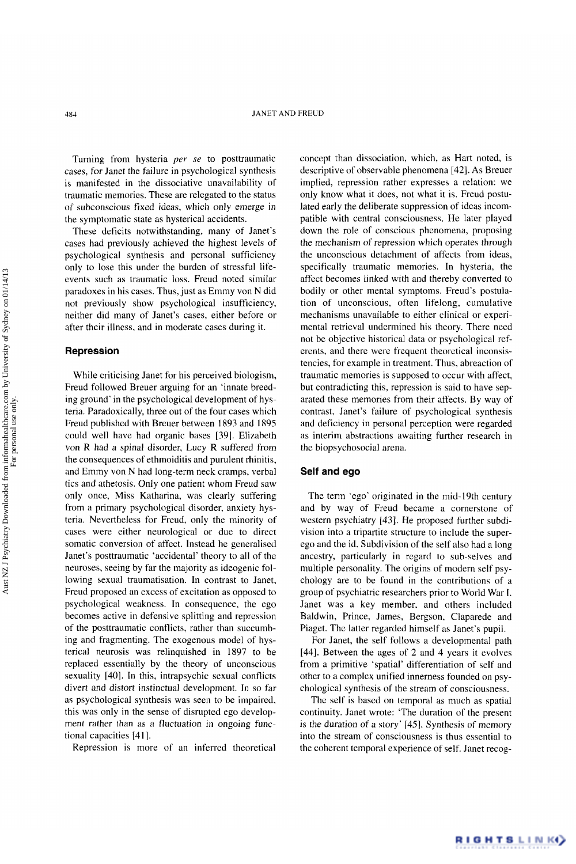Turning from hysteria *per se* to posttraumatic cases, for Janet the failure in psychological synthesis is manifested in the dissociative unavailability of traumatic memories. These are relegated to the status of subconscious fixed ideas, which only emerge in the symptomatic state as hysterical accidents.

These deficits notwithstanding, many of Janet's cases had previously achieved the highest levels of psychological synthesis and personal sufficiency only to lose this under the burden of stressful lifeevents such as traumatic loss. Freud noted similar paradoxes in his cases. Thus, just as Emmy von N did not previously show psychological insufficiency, neither did many of Janet's cases, either before or after their illness, and in moderate cases during it.

#### **Repression**

While criticising Janet for his perceived biologism, Freud followed Breuer arguing for an 'innate breeding ground' in the psychological development of hysteria. Paradoxically, three out of the four cases which Freud published with Breuer between 1893 and 1895 could well have had organic bases [39]. Elizabeth von **R** had a spinal disorder, Lucy R suffered from the consequences of ethmoiditis and purulent rhinitis, and Emmy von N had long-term neck cramps, verbal tics and athetosis. Only one patient whom Freud saw only once, Miss Katharina, was clearly suffering from a primary psychological disorder, anxiety hysteria. Nevertheless for Freud, only the minority of cases were either neurological or due to direct somatic conversion of affect. Instead he generalised Janet's posttraumatic 'accidental' theory to all of the neuroses, seeing by far the majority as ideogenic following sexual traumatisation. In contrast to Janet, Freud proposed an excess of excitation as opposed to psychological weakness. In consequence, the ego becomes active in defensive splitting and repression of the posttraumatic conflicts, rather than succumbing and fragmenting. The exogenous model of hysterical neurosis was relinquished in 1897 to be replaced essentially by the theory of unconscious sexuality [40]. In this, intrapsychic sexual conflicts divert and distort instinctual development. In so far as psychological synthesis was seen to be impaired, this was only in the sense of disrupted ego development rather than as a fluctuation in ongoing functional capacities [411.

Repression is more of an inferred theoretical

concept than dissociation, which, as Hart noted, is descriptive of observable phenomena [42]. **As** Breuer implied, repression rather expresses a relation: we only know what it does, not what it is. Freud postulated early the deliberate suppression of ideas incompatible with central consciousness. He later played down the role of conscious phenomena, proposing the mechanism of repression which operates through the unconscious detachment of affects from ideas, specifically traumatic memories. In hysteria, the affect becomes linked with and thereby converted to bodily or other mental symptoms. Freud's postulation of unconscious, often lifelong, cumulative mechanisms unavailable to either clinical or experimental retrieval undermined his theory. There need not be objective historical data or psychological referents, and there were frequent theoretical inconsistencies, for example in treatment. Thus, abreaction of traumatic memories is supposed to occur with affect, but contradicting this, repression is said to have separated these memories from their affects. By way of contrast, Janet's failure of psychological synthesis and deficiency in personal perception were regarded as interim abstractions awaiting further research in the biopsychosocial arena.

#### **Self and ego**

The term 'ego' originated in the mid- 19th century and by way of Freud became a cornerstone of western psychiatry [43]. He proposed further subdivision into a tripartite structure to include the superego and the id. Subdivision of the self also had a long ancestry, particularly in regard to sub-selves and multiple personality. The origins of modern self psychology are to be found in the contributions of a group of psychiatric researchers prior to World War **I.**  Janet was a key member, and others included Baldwin, Prince, James, Bergson. Claparede and Piaget. The latter regarded himself as Janet's pupil.

For Janet, the self follows a developmental path 1441. Between the ages of 2 and 4 years it evolves from a primitive 'spatial' differentiation of self and other to a complex unified innerness founded on psychological synthesis of the stream of consciousness.

The self is based on temporal as much as spatial continuity. Janet wrote: 'The duration of the present is the duration of a story' [45]. Synthesis of memory into the stream of consciousness is thus essential to the coherent temporal experience of self. Janet recog-

RIGHTSLINK()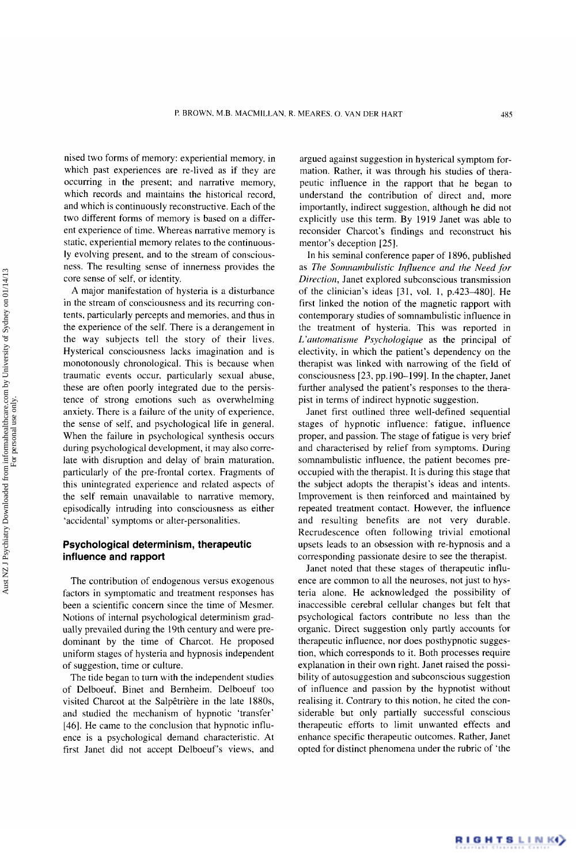nised two forms of memory: experiential memory. in which past experiences are re-lived as if they are occurring in the present: and narrative memory, which records and maintains the historical record, and which is continuously reconstructive. Each of the two different forms of memory is based on a different experience of time. Whereas narrative memory is static, experiential memory relates to the continuously evolving present, and to the stream of consciousness. The resulting sense of innerness provides the core sense of self, or identity.

**A** major manifestation of hysteria is a disturbance in the stream of consciousness and its recurring contents, particularly percepts and memories, and thus in the experience of the self. There is a derangement in the way subjects tell the story of their lives. Hysterical consciousness lacks imagination and is monotonously chronological. This is because when traumatic events occur, particularly sexual abuse, these are often poorly integrated due to the persistence of strong emotions such as overwhelming anxiety. There is a failure of the unity of experience. the sense of self. and psychological life in general. When the failure in psychological synthesis occurs during psychological development, it may also correlate with disruption and delay of brain maturation, particularly of the pre-frontal cortex. Fragments of this unintegrated experience and related aspects of the self remain unavailable to narrative memory, episodically intruding into consciousness as either 'accidental' symptoms or alter-personalities.

## **Psychological determinism, therapeutic influence and rapport**

The contribution of endogenous versus exogenous factors in symptomatic and treatment responses has been a scientific concern since the time of Mesmer. Notions of internal psychological determinism gradually prevailed during the 19th century and were predominant by the time of Charcot. He proposed uniform stages of hysteria and hypnosis independent of suggestion, time or culture.

The tide began to turn with the independent studies of Delboeuf. Binet and Bernheim. Delboeuf too visited Charcot at the Salpêtrière in the late 1880s, and studied the mechanism of hypnotic 'transfer' [46]. He came to the conclusion that hypnotic influence is a psychological demand characteristic. At first Janet did not accept Delboeuf's views, and

argued against suggestion in hysterical symptom formation. Rather, it was through his studies of therapeutic influence in the rapport that he began to understand the contribution of direct and, more importantly, indirect suggestion, although he did not explicitly use this term. By 1919 Janet was able to reconsider Charcot's findings and reconstruct his mentor's deception *[25].* 

In his seminal conference paper of 1896, published as *The Somnambulistic Influence and the Need for Direction,* Janet explored subconscious transmission of the clinician's ideas  $[31, vol. 1, p.423-480]$ . He first linked the notion of the magnetic rapport with contemporary studies of somnambulistic influence in the treatment of hysteria. This was reported in *L 'illitomatisme Psychologique* as the principal of electivity. in which the patient's dependency on the therapist was linked with narrowing of the field of consciousness [23, pp.190-199]. In the chapter, Janet further analysed the patient's responses to the therapist in terms of indirect hypnotic suggestion.

Janet first outlined three well-defined sequential stages of hypnotic influence: fatigue, influence proper, and passion. The stage of fatigue is very brief and characterised by relief from symptoms. During somnambulistic influence, the patient becomes preoccupied with the therapist. It is during this stage that the subject adopts the therapist's ideas and intents. Improvement is then reinforced and maintained by repeated treatment contact. However, the influence and resulting benefits are not very durable. Recrudescence often following trivial emotional upsets leads to an obsession with re-hypnosis and a corresponding passionate desire to see the therapist.

Janet noted that these stages of therapeutic intluence are common to all the neuroses, not just to hysteria alone. He acknowledged the possibility of inaccessible cerebral cellular changes but felt that psychological factors contribute no less than the organic. Direct suggestion only partly accounts for therapeutic influence, nor does posthypnotic suggestion, which corresponds to it. Both processes require explanation in their own right. Janet raised the possibility of autosuggestion and subconscious suggestion of influence and passion by the hypnotist without realising it. Contrary to this notion, he cited the considerable but only partially successful conscious therapeutic efforts to limit unwanted effects and enhance specific therapeutic outcomes. Rather, Janet opted for distinct phenomena under the rubric of 'the

Aust NZ J Psychiatry Downloaded from informahealthcare.com by University of Sydney on 01/14/13<br>For personal use only. Aust NZ J Psychiatry Downloaded from informahealthcare.com by University of Sydney on 01/14/13 For personal use only.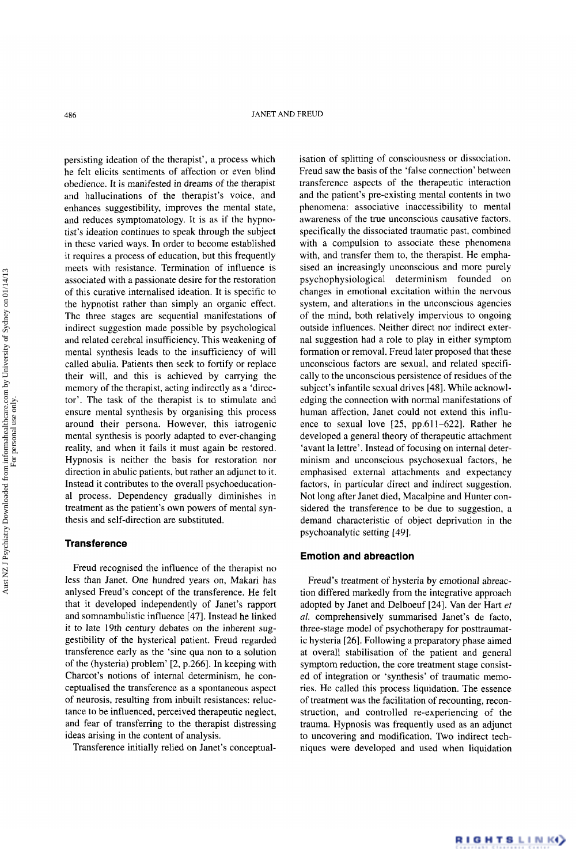persisting ideation of the therapist', a process which he felt elicits sentiments of affection or even blind obedience. It is manifested in dreams of the therapist and hallucinations of the therapist's voice, and enhances suggestibility, improves the mental state, and reduces symptomatology. It is as if the hypnotist's ideation continues to speak through the subject in these varied ways. In order to become established it requires a process of education, but this frequently meets with resistance. Termination of influence is associated with a passionate desire for the restoration of this curative internalised ideation. It is specific to the hypnotist rather than simply an organic effect. The three stages are sequential manifestations of indirect suggestion made possible by psychological and related cerebral insufficiency. This weakening of mental synthesis leads to the insufficiency of will called abulia. Patients then seek to fortify or replace their will, and this is achieved by carrying the memory of the therapist, acting indirectly as a 'director'. The task of the therapist is to stimulate and ensure mental synthesis by organising this process around their persona. However, this iatrogenic mental synthesis is poorly adapted to ever-changing reality, and when it fails it must again be restored. Hypnosis is neither the basis for restoration nor direction in abulic patients, but rather an adjunct to it. Instead it contributes to the overall psychoeducationa1 process. Dependency gradually diminishes in treatment as the patient's own powers of mental synthesis and self-direction are substituted.

#### **Transference**

Freud recognised the influence of the therapist no less than Janet. One hundred years on, Makari has anlysed Freud's concept of the transference. He felt that it developed independently of Janet's rapport and somnambulistic influence [47]. Instead he linked it to late 19th century debates on the inherent suggestibility of the hysterical patient. Freud regarded transference early as the 'sine qua non to a solution of the (hysteria) problem'  $[2, p.266]$ . In keeping with Charcot's notions of internal determinism, he conceptualised the transference as a spontaneous aspect of neurosis, resulting from inbuilt resistances: reluctance to be influenced, perceived therapeutic neglect, and fear of transferring to the therapist distressing ideas arising in the content of analysis.

Transference initially relied on Janet's conceptual-

isation of splitting of consciousness or dissociation. Freud saw the basis of the 'false connection' between transference aspects of the therapeutic interaction and the patient's pre-existing mental contents in two phenomena: associative inaccessibility to mental awareness of the true unconscious causative factors, specifically the dissociated traumatic past, combined with a compulsion to associate these phenomena with, and transfer them to, the therapist. He emphasised an increasingly unconscious and more purely psychophysiological determinism founded on changes in emotional excitation within the nervous system, and alterations in the unconscious agencies of the mind, both relatively impervious to ongoing outside influences. Neither direct nor indirect external suggestion had a role to play in either symptom formation or removal. Freud later proposed that these unconscious factors are sexual, and related specifically to the unconscious persistence of residues of the subject's infantile sexual drives [48]. While acknowledging the connection with normal manifestations of human affection, Janet could not extend this influence to sexual love [25, pp.611-6221. Rather he developed a general theory of therapeutic attachment 'avant la lettre'. Instead of focusing on internal determinism and unconscious psychosexual factors, he emphasised external attachments and expectancy factors, in particular direct and indirect suggestion. Not long after Janet died, Macalpine and Hunter considered the transference to be due to suggestion, a demand characteristic of object deprivation in the psychoanalytic setting [49].

#### **Emotion and abreaction**

Freud's treatment of hysteria by emotional abreaction differed markedly from the integrative approach adopted by Janet and Delboeuf [24]. Van der Hart *et al.* comprehensively summarised Janet's de facto, three-stage model of psychotherapy for posttraumatic hysteria [26]. Following a preparatory phase aimed at overall stabilisation of the patient and general symptom reduction, the core treatment stage consisted of integration or 'synthesis' of traumatic memories. He called this process liquidation. The essence of treatment was the facilitation of recounting, reconstruction, and controlled re-experiencing of the trauma. Hypnosis was frequently used as an adjunct to uncovering and modification. Two indirect techniques were developed and used when liquidation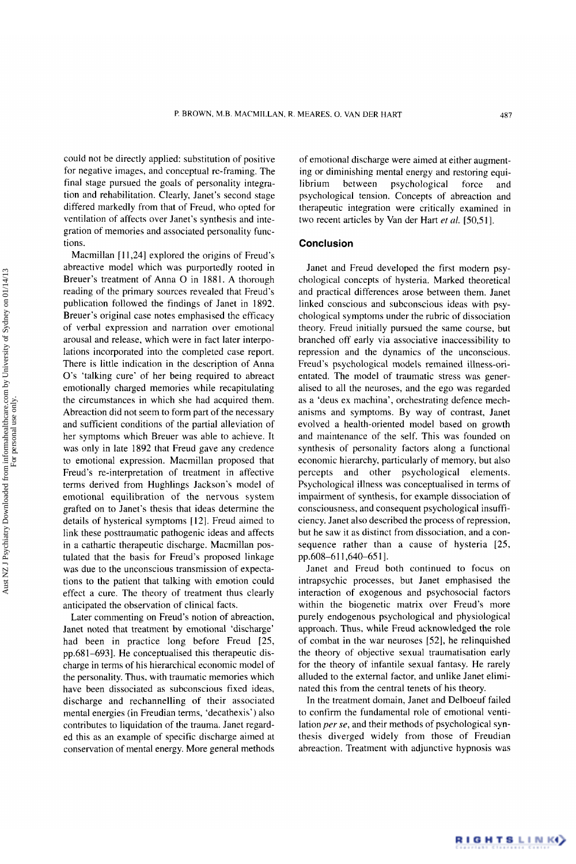could not be directly applied: substitution of positive for negative images, and conceptual re-framing. The final stage pursued the goals of personality integration and rehabilitation. Clearly, Janet's second stage differed markedly from that of Freud, who opted for ventilation of affects over Janet's synthesis and integration of memories and associated personality functions.

Macmillan  $[11,24]$  explored the origins of Freud's abreactive model which was purportedly rooted in Breuer's treatment of Anna O in 1881. A thorough reading of the primary sources revealed that Freud's publication followed the findings of Janet in 1892. Breuer's original case notes emphasised the efficacy of verbal expression and narration over emotional arousal and release, which were in fact later interpolations incorporated into the completed case report. There is little indication in the description of Anna *0's* 'talking cure' of her being required to abreact emotionally charged memories while recapitulating the circumstances in which she had acquired them. Abreaction did not seem to form part of the necessary and sufficient conditions of the partial alleviation of her symptoms which Breuer was able to achieve. It was only in late 1892 that Freud gave any credence to emotional expression. Macmillan proposed that Freud's re-interpretation of treatment in affective terms derived from Hughlings Jackson's model of emotional equilibration of the nervous system grafted on to Janet's thesis that ideas determine the details of hysterical symptoms [12]. Freud aimed to link these posttraumatic pathogenic ideas and affects in a cathartic therapeutic discharge. Macmillan postulated that the basis for Freud's proposed linkage was due to the unconscious transmission of expectations to the patient that talking with emotion could effect a cure. The theory of treatment thus clearly anticipated the observation of clinical facts.

Later commenting on Freud's notion of abreaction, Janet noted that treatment by emotional 'discharge' had been in practice long before Freud [25, pp.68 1-6931. He conceptualised this therapeutic discharge in terms of his hierarchical economic model of the personality. Thus, with traumatic memories which have been dissociated as subconscious fixed ideas, discharge and rechannelling of their associated mental energies (in Freudian terms, 'decathexis') also contributes to liquidation of the trauma. Janet regarded this as an example of specific discharge aimed at conservation of mental energy. More general methods

of emotional discharge were aimed at either augmenting or diminishing mental energy and restoring equilibrium between psychological force and psychological tension. Concepts of abreaction and therapeutic integration were critically examined in two recent articles by Van der Hart *et al.* [50,51].

#### **Conclusion**

Janet and Freud developed the first modern psychological concepts of hysteria. Marked theoretical and practical differences arose between them. Janet linked conscious and subconscious ideas with psychological symptoms under the rubric of dissociation theory. Freud initially pursued the same course, but branched off early via associative inaccessibility to repression and the dynamics of the unconscious. Freud's psychological models remained illness-orientated. The model of traumatic stress was generalised to all the neuroses, and the ego was regarded as a 'deus ex machina', orchestrating defence mechanisms and symptoms. By way of contrast, Janet evolved a health-oriented model based on growth and maintenance of the self. This was founded on synthesis of personality factors along a functional economic hierarchy, particularly of memory, but also percepts and other psychological elements. Psychological illness was conceptualised in terms of impairment of synthesis, for example dissociation of consciousness, and consequent psychological insufficiency. Janet also described the process of repression, but he saw it as distinct from dissociation, and a consequence rather than a cause of hysteria [25, pp.608-611,640-651].

Janet and Freud both continued to focus on intrapsychic processes, but Janet emphasised the interaction of exogenous and psychosocial factors within the biogenetic matrix over Freud's more purely endogenous psychological and physiological approach. Thus, while Freud acknowledged the role of combat in the war neuroses *[52],* he relinquished the theory of objective sexual traumatisation early for the theory of infantile sexual fantasy. He rarely alluded to the external factor, and unlike Janet eliminated this from the central tenets of his theory.

In the treatment domain, Janet and Delboeuf failed to confirm the fundamental role of emotional ventilation *per se,* and their methods of psychological synthesis diverged widely from those of Freudian abreaction. Treatment with adjunctive hypnosis was

RIGHTSLINK()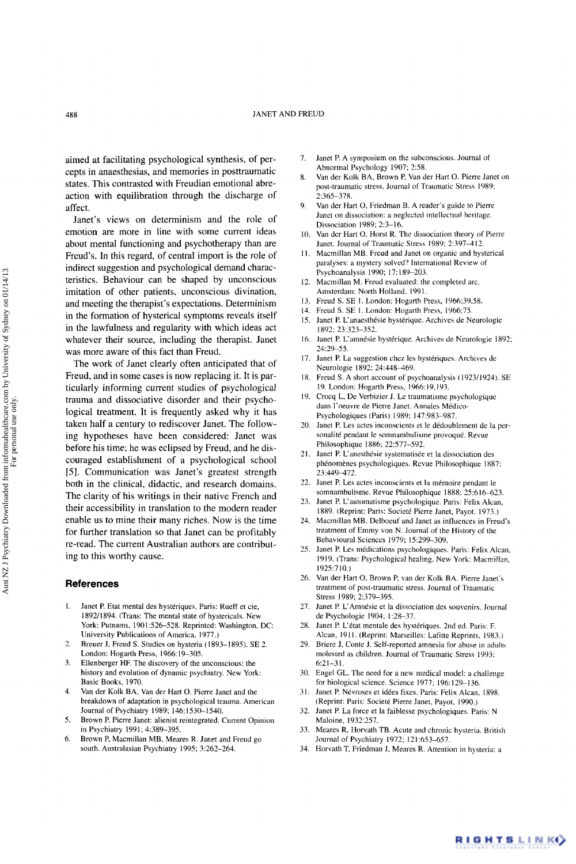aimed at facilitating psychological synthesis, of percepts in anaesthesias, and memories in posttraumatic states. This contrasted with Freudian emotional abreaction with equilibration through the discharge of affect.

Janet's views on determinism and the role of emotion are more in line with some current ideas about mental functioning and psychotherapy than are Freud's. In this regard, of central import is the role of indirect suggestion and psychological demand characteristics. Behaviour can be shaped by unconscious imitation of other patients, unconscious divination, and meeting the therapist's expectations. Determinism in the formation of hysterical symptoms reveals itself in the lawfulness and regularity with which ideas act whatever their source, including the therapist. Janet was more aware of this fact than Freud.

The work of Janet clearly often anticipated that of Freud, and in some cases is now replacing it. It is particularly informing current studies **of** psychological trauma and dissociative disorder and their psychological treatment. It is frequently asked why it has taken half a century to rediscover Janet. The following hypotheses have been considered: Janet was before his time; he was eclipsed by Freud, and he discouraged establishment of a psychological school *[5].* Communication was Janet's greatest strength both in the clinical, didactic, and research domains. The clarity of his writings in their native French and their accessibility in translation to the modern reader enable us to mine their many riches. Now is the time for further translation so that Janet can be profitably re-read. The current Australian authors are contributing to this worthy cause.

#### **References**

- I. Janet P. Etat mental des hysteriques. Paris: Rueff et cie, 1892/1894. (Trans: The mental state of hystericals. New York: Putnams, 1901:526-528. Reprinted: Washington, DC: University Publications of America. 1977.)
- 2. Breuer J. Freud S. Studies on hysteria (1893-1895). SE 2. London: Hogarth Press, 1966: 19-305.
- *3.*  Ellenberger HF. The discovery of the unconscious: the history and evolution of dynamic psychiatry. New **York:**  Basic Books. 1970.
- 4. Van der **Kolk** BA. Van der Hart 0. Pierre Janet and the breakdown of adaptation in psychological trauma. American Journal of Psychiatry 1989; 146: 1530-1540.
- *5.*  Brown P. Pierre Janet: alienist reintegrated. Current Opinion in Psychiatry 1991; 4:389-395.
- 6. Brown P, Macmillan MB, Meares R. Janet and Freud go south. Australasian Psychiatry 1995: 3:262-264.
- 7. Janet P. A symposium on the subconscious. Journal of Abnormal Psychology 1907; 2:58.
- 8. Van der **Kolk** BA, Brown P, Van der Hart 0. Pierre Janet on post-traumatic stress. Journal of Traumatic Stress 1989: 2:365-378.
- 9. Van der Hart 0, Friedman B. A reader's guide to Pierre Janet on dissociation: a neglected intellectual heritage. Dissociation 1989; 2:3-16.
- 10. Van der Hart *0,* Horst R. The dissociation theory of Pierre Janet. Journal of Traumatic Stress 1989; 2:397-412.
- **11.**  Macmillan MB. Freud and Janet on organic and hysterical paralyses: a mystery solved? International Review of Psychoanalysis 1990; 17: 189-203.
- 12. Macmillan M. Freud evaluated: the completed arc. Amsterdam: North Holland. I99 I.
- 13. Freud S. SE 1. London: Hogarth Press, 1966:39,58.
- 14. Freud S. SE I. London: Hogarth Press, 1966:75.
- 15. Janet P. L'anaesthésie hystérique. Archives de Neurologie 1892: *23:323-352.*
- 16 Janet P. L'amnésie hystérique. Archives de Neurologie 1892; 24:29-55.
- 17. Janet **P.** La suggestion chez les hysteriques. Archives de Neurologie 1892; 24:448-469.
- 18 Freud S. A short account of psychoanalysis (1923/1924). SE 19. London: Hogarth Press, 1966: 19,193.
- 19. Crocq L, De Verbizier J. Le traumatisme psychologique dans l'oeuvre de Pierre Janet. Annales Médico-Psychologiques (Paris) 1989; 147:983-987.
- 20. Janet P. Les actes inconscients et le dédoublement de la personalité pendant le somnambulisme provoqué. Revue Philosophique 1886: 22:577-592.
- 21. Janet **P.** L'anesthesie systematisee et la dissociation des phenomenes psychologiques. Revue Philosophique 1887: 23:449472.
- 22. Janet P. Les actes inconscients et la mémoire pendant le somnambulisme. Revue Philosophique 1888; 2S:616-623.
- 23. Janet P. L'automatisme psychologique. Paris: Felix Alcan, 1889. (Reprint: Paris: Societé Pierre Janet, Payot. 1973.)
- 24. Macmillan MB. Delboeuf and Janet as influences in Freud's treatment of Emmy von N. Journal of the History of the Behavioural Sciences 1979; 15299-309,
- *25.*  Janet P. Les medications psychologiques. Paris: Felix Alcan. 1919. (Trans: Psychological healing. New **Ynrk:** Macmillan, l92S:7 10.)
- 26. Van der Hart 0, Brown P, van der **Kolk** BA. Pierre Janet's treatment of post-traumatic stress. Journal of Traumatic Stress 1989; 2:379-395.
- 27. Janet P. L'Amnésie et la dissociation des souvenirs. Journal de Psychologie 1904; 1:28-37.
- 28. Janet P. L'état mentale des hystériques. 2nd ed. Paris: F. Alcan, 1911. (Reprint: Marseilles: Lafitte Reprints, 1983.)
- 29. Briere J. Conte J. Self-reported amnesia for abuse in adults molested as children. Journal of Traumatic Stress 1993: 6:21-3 **1.**
- 30. Engel GL. The need for a new medical model: a challenge for biological science. Science 1977; 196:129-136.
- **31.**  Janet P. Nevroses et idees fixes. Paris: Felix Alcan, 1898. (Reprint: Paris: Societe Pierre Janet, Payot. 1990.)
- 32. Janet P. La force et la faiblesse psychologiques. Paris: N Maloine, 1932:257.
- 33. Meares R, Horvath TB. Acute and chronic hysteria. British Journal of Psychiatry 1972; 121:653-657.
- 34. Horvath T, Friedman **J,** Meares R. Attention in hysteria: a

RIGHTSLINK)

For personal use only.